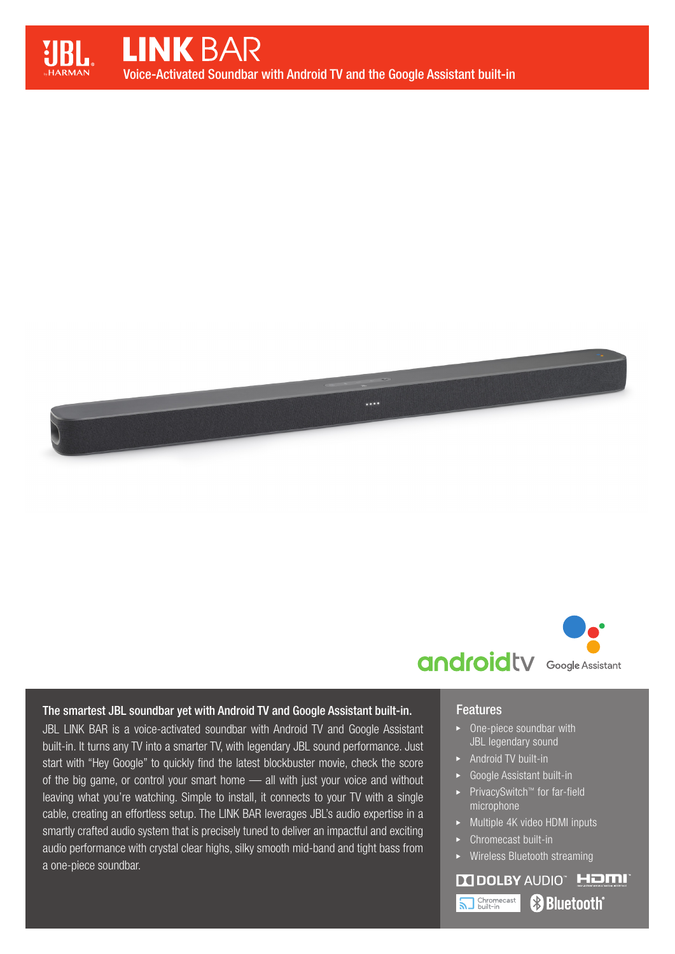

 $\cdots$ 



# The smartest JBL soundbar yet with Android TV and Google Assistant built-in.

JBL LINK BAR is a voice-activated soundbar with Android TV and Google Assistant built-in. It turns any TV into a smarter TV, with legendary JBL sound performance. Just start with "Hey Google" to quickly find the latest blockbuster movie, check the score of the big game, or control your smart home — all with just your voice and without leaving what you're watching. Simple to install, it connects to your TV with a single cable, creating an effortless setup. The LINK BAR leverages JBL's audio expertise in a smartly crafted audio system that is precisely tuned to deliver an impactful and exciting audio performance with crystal clear highs, silky smooth mid-band and tight bass from a one-piece soundbar.

# **Features**

- $\overline{\phantom{a}}$  One-piece soundbar with JBL legendary sound
- Android TV built-in
- Google Assistant built-in
- PrivacySwitch™ for far-field microphone
- Multiple 4K video HDMI inputs
- ► Chromecast built-in
- **Nireless Bluetooth streaming**

**M DOLBY AUDIO<sup>®</sup> HDMI** Suilt-in **83 Bluetooth**®